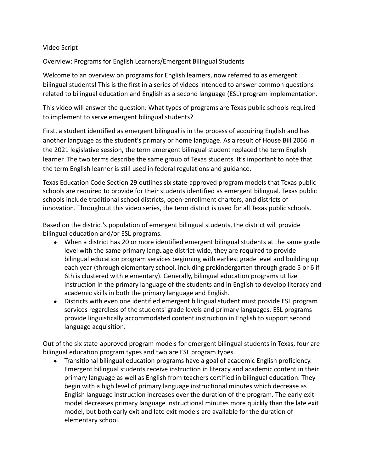## Video Script

Overview: Programs for English Learners/Emergent Bilingual Students

Welcome to an overview on programs for English learners, now referred to as emergent bilingual students! This is the first in a series of videos intended to answer common questions related to bilingual education and English as a second language (ESL) program implementation.

This video will answer the question: What types of programs are Texas public schools required to implement to serve emergent bilingual students?

First, a student identified as emergent bilingual is in the process of acquiring English and has another language as the student's primary or home language. As a result of House Bill 2066 in the 2021 legislative session, the term emergent bilingual student replaced the term English learner. The two terms describe the same group of Texas students. It's important to note that the term English learner is still used in federal regulations and guidance.

Texas Education Code Section 29 outlines six state-approved program models that Texas public schools are required to provide for their students identified as emergent bilingual. Texas public schools include traditional school districts, open-enrollment charters, and districts of innovation. Throughout this video series, the term district is used for all Texas public schools.

Based on the district's population of emergent bilingual students, the district will provide bilingual education and/or ESL programs.

- When a district has 20 or more identified emergent bilingual students at the same grade level with the same primary language district-wide, they are required to provide bilingual education program services beginning with earliest grade level and building up each year (through elementary school, including prekindergarten through grade 5 or 6 if 6th is clustered with elementary). Generally, bilingual education programs utilize instruction in the primary language of the students and in English to develop literacy and academic skills in both the primary language and English.
- Districts with even one identified emergent bilingual student must provide ESL program services regardless of the students' grade levels and primary languages. ESL programs provide linguistically accommodated content instruction in English to support second language acquisition.

Out of the six state-approved program models for emergent bilingual students in Texas, four are bilingual education program types and two are ESL program types.

● Transitional bilingual education programs have a goal of academic English proficiency. Emergent bilingual students receive instruction in literacy and academic content in their primary language as well as English from teachers certified in bilingual education. They begin with a high level of primary language instructional minutes which decrease as English language instruction increases over the duration of the program. The early exit model decreases primary language instructional minutes more quickly than the late exit model, but both early exit and late exit models are available for the duration of elementary school.